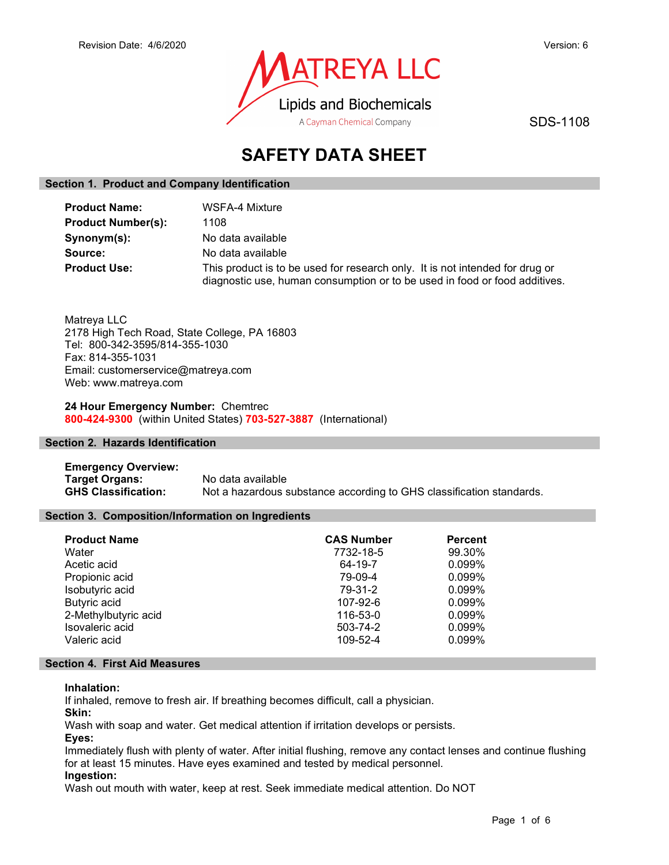

SDS-1108

# SAFETY DATA SHEET

## Section 1. Product and Company Identification

| <b>Product Name:</b>      | WSFA-4 Mixture                                                                                                                                             |
|---------------------------|------------------------------------------------------------------------------------------------------------------------------------------------------------|
| <b>Product Number(s):</b> | 1108                                                                                                                                                       |
| Synonym(s):               | No data available                                                                                                                                          |
| Source:                   | No data available                                                                                                                                          |
| <b>Product Use:</b>       | This product is to be used for research only. It is not intended for drug or<br>diagnostic use, human consumption or to be used in food or food additives. |

Matreya LLC 2178 High Tech Road, State College, PA 16803 Tel: 800-342-3595/814-355-1030 Fax: 814-355-1031 Email: customerservice@matreya.com Web: www.matreya.com

24 Hour Emergency Number: Chemtrec 800-424-9300 (within United States) 703-527-3887 (International)

## Section 2. Hazards Identification

Emergency Overview: Target Organs: No data available GHS Classification: Not a hazardous substance according to GHS classification standards.

## Section 3. Composition/Information on Ingredients

| <b>Product Name</b>  | <b>CAS Number</b> | <b>Percent</b> |
|----------------------|-------------------|----------------|
| Water                | 7732-18-5         | 99.30%         |
| Acetic acid          | 64-19-7           | 0.099%         |
| Propionic acid       | 79-09-4           | 0.099%         |
| Isobutyric acid      | 79-31-2           | 0.099%         |
| <b>Butyric acid</b>  | 107-92-6          | 0.099%         |
| 2-Methylbutyric acid | 116-53-0          | 0.099%         |
| Isovaleric acid      | 503-74-2          | 0.099%         |
| Valeric acid         | 109-52-4          | 0.099%         |

#### Section 4. First Aid Measures

## Inhalation:

If inhaled, remove to fresh air. If breathing becomes difficult, call a physician.

Skin:

Wash with soap and water. Get medical attention if irritation develops or persists.

Eyes:

Immediately flush with plenty of water. After initial flushing, remove any contact lenses and continue flushing for at least 15 minutes. Have eyes examined and tested by medical personnel.

## Ingestion:

Wash out mouth with water, keep at rest. Seek immediate medical attention. Do NOT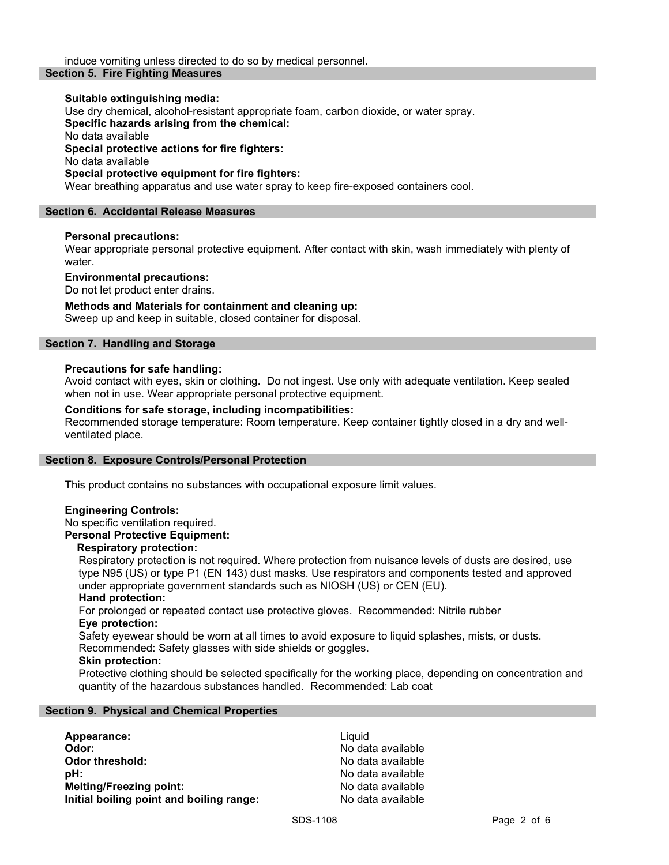#### Suitable extinguishing media:

Use dry chemical, alcohol-resistant appropriate foam, carbon dioxide, or water spray. Specific hazards arising from the chemical: No data available Special protective actions for fire fighters: No data available Special protective equipment for fire fighters: Wear breathing apparatus and use water spray to keep fire-exposed containers cool.

#### Section 6. Accidental Release Measures

#### Personal precautions:

Wear appropriate personal protective equipment. After contact with skin, wash immediately with plenty of water.

#### Environmental precautions:

Do not let product enter drains.

## Methods and Materials for containment and cleaning up:

Sweep up and keep in suitable, closed container for disposal.

## Section 7. Handling and Storage

#### Precautions for safe handling:

Avoid contact with eyes, skin or clothing. Do not ingest. Use only with adequate ventilation. Keep sealed when not in use. Wear appropriate personal protective equipment.

#### Conditions for safe storage, including incompatibilities:

Recommended storage temperature: Room temperature. Keep container tightly closed in a dry and wellventilated place.

#### Section 8. Exposure Controls/Personal Protection

This product contains no substances with occupational exposure limit values.

#### Engineering Controls:

## No specific ventilation required.

Personal Protective Equipment:

#### Respiratory protection:

Respiratory protection is not required. Where protection from nuisance levels of dusts are desired, use type N95 (US) or type P1 (EN 143) dust masks. Use respirators and components tested and approved under appropriate government standards such as NIOSH (US) or CEN (EU).

#### Hand protection:

For prolonged or repeated contact use protective gloves. Recommended: Nitrile rubber Eye protection:

Safety eyewear should be worn at all times to avoid exposure to liquid splashes, mists, or dusts. Recommended: Safety glasses with side shields or goggles.

#### Skin protection:

Protective clothing should be selected specifically for the working place, depending on concentration and quantity of the hazardous substances handled. Recommended: Lab coat

#### Section 9. Physical and Chemical Properties

| Appearance:                              | Liauid |
|------------------------------------------|--------|
| Odor:                                    | No dat |
| <b>Odor threshold:</b>                   | No dat |
| pH:                                      | No dat |
| <b>Melting/Freezing point:</b>           | No dat |
| Initial boiling point and boiling range: | No dat |

No data available No data available No data available No data available No data available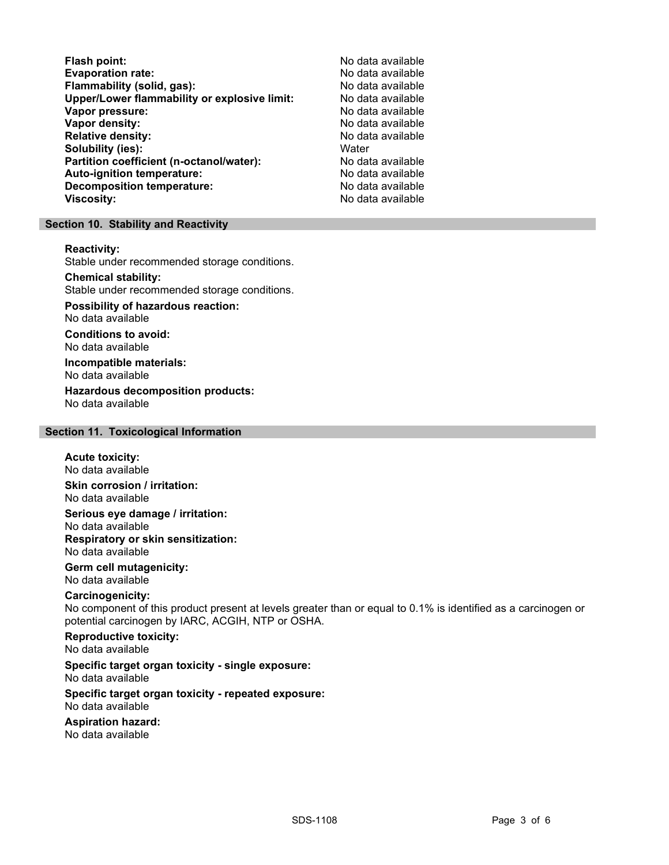Flash point: <br>Evaporation rate: No data available<br>No data available Evaporation rate:<br>
Flammability (solid. gas): No data available Flammability (solid, gas): Upper/Lower flammability or explosive limit: No data available Vapor pressure: No data available Vapor density: No data available Relative density: No data available Solubility (ies): Water Partition coefficient (n-octanol/water): No data available Auto-ignition temperature:  $\begin{array}{ccc} \text{Auto-ignition temperature:} & \text{No data available} \end{array}$ Decomposition temperature: Viscosity: No data available

#### Section 10. Stability and Reactivity

Reactivity:

Stable under recommended storage conditions.

Chemical stability:

Stable under recommended storage conditions.

Possibility of hazardous reaction: No data available

Conditions to avoid: No data available

Incompatible materials: No data available

Hazardous decomposition products: No data available

## Section 11. Toxicological Information

#### Acute toxicity: No data available

Skin corrosion / irritation: No data available

Serious eye damage / irritation: No data available

Respiratory or skin sensitization: No data available

Germ cell mutagenicity: No data available

## Carcinogenicity:

No component of this product present at levels greater than or equal to 0.1% is identified as a carcinogen or potential carcinogen by IARC, ACGIH, NTP or OSHA.

Reproductive toxicity: No data available

#### Specific target organ toxicity - single exposure: No data available

Specific target organ toxicity - repeated exposure: No data available

Aspiration hazard:

No data available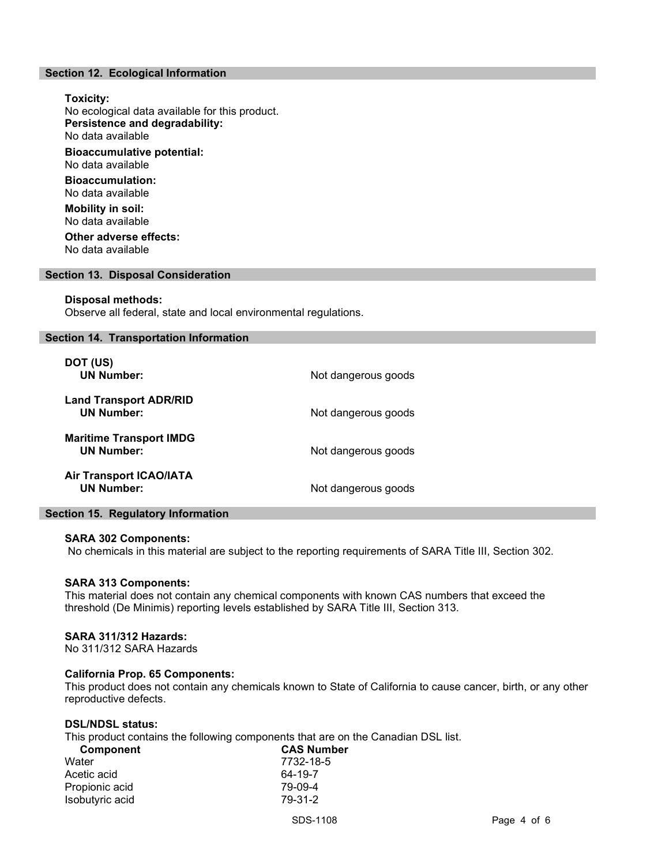## Section 12. Ecological Information

Toxicity: No ecological data available for this product. Persistence and degradability: No data available Bioaccumulative potential: No data available Bioaccumulation: No data available Mobility in soil: No data available Other adverse effects:

No data available

#### Section 13. Disposal Consideration

#### Disposal methods:

Observe all federal, state and local environmental regulations.

#### Section 14. Transportation Information

| DOT (US)<br><b>UN Number:</b>                       | Not dangerous goods |
|-----------------------------------------------------|---------------------|
| <b>Land Transport ADR/RID</b><br><b>UN Number:</b>  | Not dangerous goods |
| <b>Maritime Transport IMDG</b><br><b>UN Number:</b> | Not dangerous goods |
| <b>Air Transport ICAO/IATA</b><br><b>UN Number:</b> | Not dangerous goods |

#### Section 15. Regulatory Information

#### SARA 302 Components:

No chemicals in this material are subject to the reporting requirements of SARA Title III, Section 302.

#### SARA 313 Components:

This material does not contain any chemical components with known CAS numbers that exceed the threshold (De Minimis) reporting levels established by SARA Title III, Section 313.

#### SARA 311/312 Hazards:

No 311/312 SARA Hazards

## California Prop. 65 Components:

This product does not contain any chemicals known to State of California to cause cancer, birth, or any other reproductive defects.

#### DSL/NDSL status:

This product contains the following components that are on the Canadian DSL list.

| <b>CAS Number</b> |
|-------------------|
| 7732-18-5         |
| 64-19-7           |
| 79-09-4           |
| 79-31-2           |
|                   |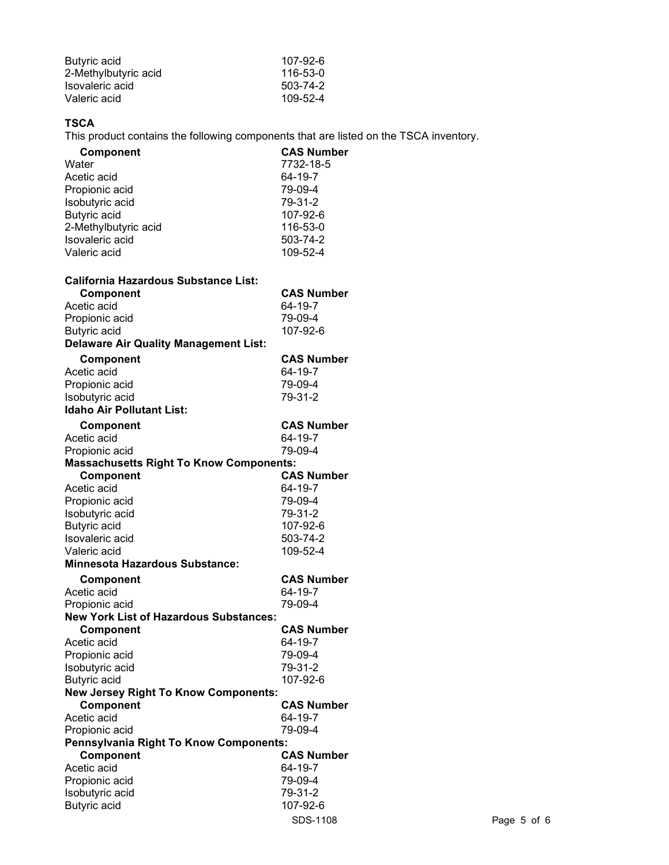| Butyric acid         | 107-92-6 |
|----------------------|----------|
| 2-Methylbutyric acid | 116-53-0 |
| Isovaleric acid      | 503-74-2 |
| Valeric acid         | 109-52-4 |

## **TSCA**

This product contains the following components that are listed on the TSCA inventory.

| 7732-18-5<br>64-19-7<br>Propionic acid<br>79-09-4<br>79-31-2<br>107-92-6<br>2-Methylbutyric acid<br>116-53-0<br>503-74-2<br>109-52-4<br><b>CAS Number</b><br>Component<br>64-19-7<br>79-09-4<br>107-92-6<br><b>CAS Number</b><br>Component<br>64-19-7<br>79-09-4<br>79-31-2<br><b>CAS Number</b><br>Component<br>64-19-7<br>79-09-4<br><b>Massachusetts Right To Know Components:</b><br><b>CAS Number</b><br>Component<br>64-19-7<br>79-09-4<br>79-31-2<br>107-92-6<br>503-74-2<br>109-52-4<br><b>CAS Number</b><br>Component<br>64-19-7<br>79-09-4<br><b>New York List of Hazardous Substances:</b><br>Component<br><b>CAS Number</b><br>64-19-7<br>Acetic acid<br>Propionic acid<br>79-09-4<br>Isobutyric acid<br>79-31-2<br>Butyric acid<br>107-92-6<br><b>New Jersey Right To Know Components:</b><br>Component<br><b>CAS Number</b><br>Acetic acid<br>64-19-7<br>Propionic acid<br>79-09-4<br>Pennsylvania Right To Know Components:<br>Component<br><b>CAS Number</b><br>Acetic acid<br>64-19-7<br>Propionic acid<br>79-09-4<br>79-31-2<br>Isobutyric acid | Component                                    | <b>CAS Number</b> |
|-------------------------------------------------------------------------------------------------------------------------------------------------------------------------------------------------------------------------------------------------------------------------------------------------------------------------------------------------------------------------------------------------------------------------------------------------------------------------------------------------------------------------------------------------------------------------------------------------------------------------------------------------------------------------------------------------------------------------------------------------------------------------------------------------------------------------------------------------------------------------------------------------------------------------------------------------------------------------------------------------------------------------------------------------------------------|----------------------------------------------|-------------------|
|                                                                                                                                                                                                                                                                                                                                                                                                                                                                                                                                                                                                                                                                                                                                                                                                                                                                                                                                                                                                                                                                   | Water                                        |                   |
|                                                                                                                                                                                                                                                                                                                                                                                                                                                                                                                                                                                                                                                                                                                                                                                                                                                                                                                                                                                                                                                                   | Acetic acid                                  |                   |
|                                                                                                                                                                                                                                                                                                                                                                                                                                                                                                                                                                                                                                                                                                                                                                                                                                                                                                                                                                                                                                                                   |                                              |                   |
|                                                                                                                                                                                                                                                                                                                                                                                                                                                                                                                                                                                                                                                                                                                                                                                                                                                                                                                                                                                                                                                                   | Isobutyric acid                              |                   |
|                                                                                                                                                                                                                                                                                                                                                                                                                                                                                                                                                                                                                                                                                                                                                                                                                                                                                                                                                                                                                                                                   | <b>Butyric</b> acid                          |                   |
|                                                                                                                                                                                                                                                                                                                                                                                                                                                                                                                                                                                                                                                                                                                                                                                                                                                                                                                                                                                                                                                                   |                                              |                   |
|                                                                                                                                                                                                                                                                                                                                                                                                                                                                                                                                                                                                                                                                                                                                                                                                                                                                                                                                                                                                                                                                   | Isovaleric acid                              |                   |
|                                                                                                                                                                                                                                                                                                                                                                                                                                                                                                                                                                                                                                                                                                                                                                                                                                                                                                                                                                                                                                                                   | Valeric acid                                 |                   |
|                                                                                                                                                                                                                                                                                                                                                                                                                                                                                                                                                                                                                                                                                                                                                                                                                                                                                                                                                                                                                                                                   | <b>California Hazardous Substance List:</b>  |                   |
|                                                                                                                                                                                                                                                                                                                                                                                                                                                                                                                                                                                                                                                                                                                                                                                                                                                                                                                                                                                                                                                                   |                                              |                   |
|                                                                                                                                                                                                                                                                                                                                                                                                                                                                                                                                                                                                                                                                                                                                                                                                                                                                                                                                                                                                                                                                   | Acetic acid                                  |                   |
|                                                                                                                                                                                                                                                                                                                                                                                                                                                                                                                                                                                                                                                                                                                                                                                                                                                                                                                                                                                                                                                                   | Propionic acid                               |                   |
|                                                                                                                                                                                                                                                                                                                                                                                                                                                                                                                                                                                                                                                                                                                                                                                                                                                                                                                                                                                                                                                                   | Butyric acid                                 |                   |
|                                                                                                                                                                                                                                                                                                                                                                                                                                                                                                                                                                                                                                                                                                                                                                                                                                                                                                                                                                                                                                                                   | <b>Delaware Air Quality Management List:</b> |                   |
|                                                                                                                                                                                                                                                                                                                                                                                                                                                                                                                                                                                                                                                                                                                                                                                                                                                                                                                                                                                                                                                                   |                                              |                   |
|                                                                                                                                                                                                                                                                                                                                                                                                                                                                                                                                                                                                                                                                                                                                                                                                                                                                                                                                                                                                                                                                   | Acetic acid                                  |                   |
|                                                                                                                                                                                                                                                                                                                                                                                                                                                                                                                                                                                                                                                                                                                                                                                                                                                                                                                                                                                                                                                                   | Propionic acid                               |                   |
|                                                                                                                                                                                                                                                                                                                                                                                                                                                                                                                                                                                                                                                                                                                                                                                                                                                                                                                                                                                                                                                                   | Isobutyric acid                              |                   |
|                                                                                                                                                                                                                                                                                                                                                                                                                                                                                                                                                                                                                                                                                                                                                                                                                                                                                                                                                                                                                                                                   | <b>Idaho Air Pollutant List:</b>             |                   |
|                                                                                                                                                                                                                                                                                                                                                                                                                                                                                                                                                                                                                                                                                                                                                                                                                                                                                                                                                                                                                                                                   |                                              |                   |
|                                                                                                                                                                                                                                                                                                                                                                                                                                                                                                                                                                                                                                                                                                                                                                                                                                                                                                                                                                                                                                                                   | Acetic acid                                  |                   |
|                                                                                                                                                                                                                                                                                                                                                                                                                                                                                                                                                                                                                                                                                                                                                                                                                                                                                                                                                                                                                                                                   | Propionic acid                               |                   |
|                                                                                                                                                                                                                                                                                                                                                                                                                                                                                                                                                                                                                                                                                                                                                                                                                                                                                                                                                                                                                                                                   |                                              |                   |
|                                                                                                                                                                                                                                                                                                                                                                                                                                                                                                                                                                                                                                                                                                                                                                                                                                                                                                                                                                                                                                                                   |                                              |                   |
|                                                                                                                                                                                                                                                                                                                                                                                                                                                                                                                                                                                                                                                                                                                                                                                                                                                                                                                                                                                                                                                                   | Acetic acid                                  |                   |
|                                                                                                                                                                                                                                                                                                                                                                                                                                                                                                                                                                                                                                                                                                                                                                                                                                                                                                                                                                                                                                                                   | Propionic acid                               |                   |
|                                                                                                                                                                                                                                                                                                                                                                                                                                                                                                                                                                                                                                                                                                                                                                                                                                                                                                                                                                                                                                                                   | Isobutyric acid                              |                   |
|                                                                                                                                                                                                                                                                                                                                                                                                                                                                                                                                                                                                                                                                                                                                                                                                                                                                                                                                                                                                                                                                   | <b>Butyric</b> acid                          |                   |
|                                                                                                                                                                                                                                                                                                                                                                                                                                                                                                                                                                                                                                                                                                                                                                                                                                                                                                                                                                                                                                                                   | Isovaleric acid                              |                   |
|                                                                                                                                                                                                                                                                                                                                                                                                                                                                                                                                                                                                                                                                                                                                                                                                                                                                                                                                                                                                                                                                   | Valeric acid                                 |                   |
|                                                                                                                                                                                                                                                                                                                                                                                                                                                                                                                                                                                                                                                                                                                                                                                                                                                                                                                                                                                                                                                                   | <b>Minnesota Hazardous Substance:</b>        |                   |
|                                                                                                                                                                                                                                                                                                                                                                                                                                                                                                                                                                                                                                                                                                                                                                                                                                                                                                                                                                                                                                                                   |                                              |                   |
|                                                                                                                                                                                                                                                                                                                                                                                                                                                                                                                                                                                                                                                                                                                                                                                                                                                                                                                                                                                                                                                                   | Acetic acid                                  |                   |
|                                                                                                                                                                                                                                                                                                                                                                                                                                                                                                                                                                                                                                                                                                                                                                                                                                                                                                                                                                                                                                                                   | Propionic acid                               |                   |
|                                                                                                                                                                                                                                                                                                                                                                                                                                                                                                                                                                                                                                                                                                                                                                                                                                                                                                                                                                                                                                                                   |                                              |                   |
|                                                                                                                                                                                                                                                                                                                                                                                                                                                                                                                                                                                                                                                                                                                                                                                                                                                                                                                                                                                                                                                                   |                                              |                   |
|                                                                                                                                                                                                                                                                                                                                                                                                                                                                                                                                                                                                                                                                                                                                                                                                                                                                                                                                                                                                                                                                   |                                              |                   |
|                                                                                                                                                                                                                                                                                                                                                                                                                                                                                                                                                                                                                                                                                                                                                                                                                                                                                                                                                                                                                                                                   |                                              |                   |
|                                                                                                                                                                                                                                                                                                                                                                                                                                                                                                                                                                                                                                                                                                                                                                                                                                                                                                                                                                                                                                                                   |                                              |                   |
|                                                                                                                                                                                                                                                                                                                                                                                                                                                                                                                                                                                                                                                                                                                                                                                                                                                                                                                                                                                                                                                                   |                                              |                   |
|                                                                                                                                                                                                                                                                                                                                                                                                                                                                                                                                                                                                                                                                                                                                                                                                                                                                                                                                                                                                                                                                   |                                              |                   |
|                                                                                                                                                                                                                                                                                                                                                                                                                                                                                                                                                                                                                                                                                                                                                                                                                                                                                                                                                                                                                                                                   |                                              |                   |
|                                                                                                                                                                                                                                                                                                                                                                                                                                                                                                                                                                                                                                                                                                                                                                                                                                                                                                                                                                                                                                                                   |                                              |                   |
|                                                                                                                                                                                                                                                                                                                                                                                                                                                                                                                                                                                                                                                                                                                                                                                                                                                                                                                                                                                                                                                                   |                                              |                   |
|                                                                                                                                                                                                                                                                                                                                                                                                                                                                                                                                                                                                                                                                                                                                                                                                                                                                                                                                                                                                                                                                   |                                              |                   |
|                                                                                                                                                                                                                                                                                                                                                                                                                                                                                                                                                                                                                                                                                                                                                                                                                                                                                                                                                                                                                                                                   |                                              |                   |
|                                                                                                                                                                                                                                                                                                                                                                                                                                                                                                                                                                                                                                                                                                                                                                                                                                                                                                                                                                                                                                                                   |                                              |                   |
|                                                                                                                                                                                                                                                                                                                                                                                                                                                                                                                                                                                                                                                                                                                                                                                                                                                                                                                                                                                                                                                                   |                                              |                   |
|                                                                                                                                                                                                                                                                                                                                                                                                                                                                                                                                                                                                                                                                                                                                                                                                                                                                                                                                                                                                                                                                   | <b>Butyric acid</b>                          | 107-92-6          |